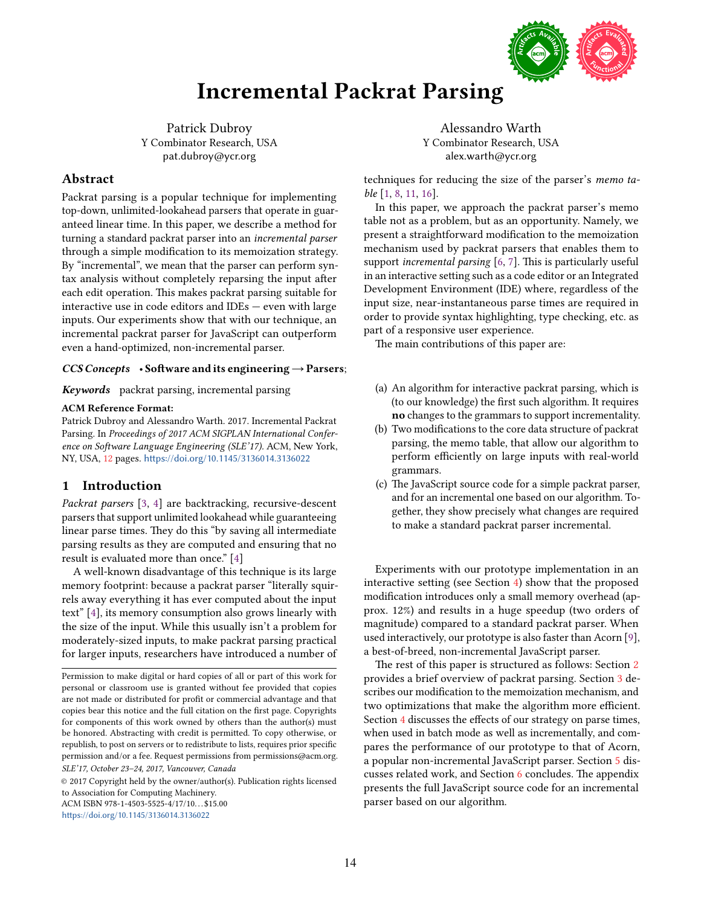

# Incremental Packrat Parsing

Patrick Dubroy Y Combinator Research, USA pat.dubroy@ycr.org

# Abstract

Packrat parsing is a popular technique for implementing top-down, unlimited-lookahead parsers that operate in guaranteed linear time. In this paper, we describe a method for turning a standard packrat parser into an incremental parser through a simple modification to its memoization strategy. By "incremental", we mean that the parser can perform syntax analysis without completely reparsing the input after each edit operation. This makes packrat parsing suitable for interactive use in code editors and IDEs — even with large inputs. Our experiments show that with our technique, an incremental packrat parser for JavaScript can outperform even a hand-optimized, non-incremental parser.

## $CCS$  Concepts • Software and its engineering  $\rightarrow$  Parsers;

Keywords packrat parsing, incremental parsing

## ACM Reference Format:

Patrick Dubroy and Alessandro Warth. 2017. Incremental Packrat Parsing. In Proceedings of 2017 ACM SIGPLAN International Conference on Software Language Engineering (SLE'17). ACM, New York, NY, USA, [12](#page-11-0) pages. <https://doi.org/10.1145/3136014.3136022>

## 1 Introduction

Packrat parsers [\[3,](#page-11-1) [4\]](#page-11-2) are backtracking, recursive-descent parsers that support unlimited lookahead while guaranteeing linear parse times. They do this "by saving all intermediate" parsing results as they are computed and ensuring that no result is evaluated more than once." [\[4\]](#page-11-2)

A well-known disadvantage of this technique is its large memory footprint: because a packrat parser "literally squirrels away everything it has ever computed about the input text" [\[4\]](#page-11-2), its memory consumption also grows linearly with the size of the input. While this usually isn't a problem for moderately-sized inputs, to make packrat parsing practical for larger inputs, researchers have introduced a number of

© 2017 Copyright held by the owner/author(s). Publication rights licensed to Association for Computing Machinery.

ACM ISBN 978-1-4503-5525-4/17/10...\$15.00

<https://doi.org/10.1145/3136014.3136022>

Alessandro Warth Y Combinator Research, USA alex.warth@ycr.org

techniques for reducing the size of the parser's memo table [\[1,](#page-11-3) [8,](#page-11-4) [11,](#page-11-5) [16\]](#page-11-6).

In this paper, we approach the packrat parser's memo table not as a problem, but as an opportunity. Namely, we present a straightforward modification to the memoization mechanism used by packrat parsers that enables them to support incremental parsing [\[6,](#page-11-7) [7\]](#page-11-8). This is particularly useful in an interactive setting such as a code editor or an Integrated Development Environment (IDE) where, regardless of the input size, near-instantaneous parse times are required in order to provide syntax highlighting, type checking, etc. as part of a responsive user experience.

The main contributions of this paper are:

- (a) An algorithm for interactive packrat parsing, which is (to our knowledge) the first such algorithm. It requires no changes to the grammars to support incrementality.
- (b) Two modifications to the core data structure of packrat parsing, the memo table, that allow our algorithm to perform efficiently on large inputs with real-world grammars.
- (c) The JavaScript source code for a simple packrat parser, and for an incremental one based on our algorithm. Together, they show precisely what changes are required to make a standard packrat parser incremental.

Experiments with our prototype implementation in an interactive setting (see Section [4\)](#page-5-0) show that the proposed modification introduces only a small memory overhead (approx. 12%) and results in a huge speedup (two orders of magnitude) compared to a standard packrat parser. When used interactively, our prototype is also faster than Acorn [\[9\]](#page-11-9), a best-of-breed, non-incremental JavaScript parser.

The rest of this paper is structured as follows: Section [2](#page-1-0) provides a brief overview of packrat parsing. Section [3](#page-1-1) describes our modification to the memoization mechanism, and two optimizations that make the algorithm more efficient. Section [4](#page-5-0) discusses the effects of our strategy on parse times, when used in batch mode as well as incrementally, and compares the performance of our prototype to that of Acorn, a popular non-incremental JavaScript parser. Section [5](#page-7-0) discusses related work, and Section [6](#page-8-0) concludes. The appendix presents the full JavaScript source code for an incremental parser based on our algorithm.

Permission to make digital or hard copies of all or part of this work for personal or classroom use is granted without fee provided that copies are not made or distributed for profit or commercial advantage and that copies bear this notice and the full citation on the first page. Copyrights for components of this work owned by others than the author(s) must be honored. Abstracting with credit is permitted. To copy otherwise, or republish, to post on servers or to redistribute to lists, requires prior specific permission and/or a fee. Request permissions from permissions@acm.org. SLE'17, October 23–24, 2017, Vancouver, Canada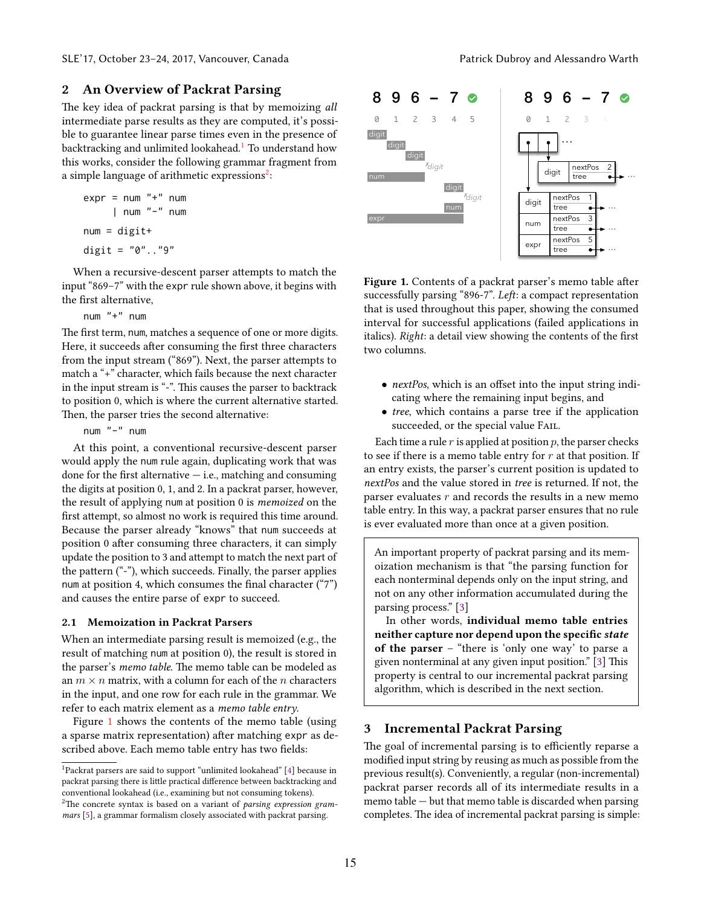# <span id="page-1-0"></span>2 An Overview of Packrat Parsing

The key idea of packrat parsing is that by memoizing all intermediate parse results as they are computed, it's possible to guarantee linear parse times even in the presence of backtracking and unlimited lookahead.<sup>[1](#page-1-2)</sup> To understand how this works, consider the following grammar fragment from a simple language of arithmetic expressions $^2\colon$  $^2\colon$  $^2\colon$ 

$$
expr = num "+" num
$$
  
| num "-" num  
num = digit+  
digit = "0". "9"

When a recursive-descent parser attempts to match the input  $869-7$ " with the expr rule shown above, it begins with the first alternative,

num "+" num

The first term, num, matches a sequence of one or more digits. Here, it succeeds after consuming the first three characters from the input stream ("869"). Next, the parser attempts to match a "+" character, which fails because the next character in the input stream is "-". This causes the parser to backtrack to position 0, which is where the current alternative started. Then, the parser tries the second alternative:

num "-" num

At this point, a conventional recursive-descent parser would apply the num rule again, duplicating work that was done for the first alternative  $-$  i.e., matching and consuming the digits at position 0, 1, and 2. In a packrat parser, however, the result of applying num at position 0 is memoized on the first attempt, so almost no work is required this time around. Because the parser already "knows" that num succeeds at position 0 after consuming three characters, it can simply update the position to 3 and attempt to match the next part of the pattern  $(*-)$ , which succeeds. Finally, the parser applies num at position 4, which consumes the final character  $(47")$ and causes the entire parse of expr to succeed.

### 2.1 Memoization in Packrat Parsers

When an intermediate parsing result is memoized (e.g., the result of matching num at position 0), the result is stored in the parser's memo table. The memo table can be modeled as an  $m \times n$  matrix, with a column for each of the n characters in the input, and one row for each rule in the grammar. We refer to each matrix element as a memo table entry.

Figure [1](#page-1-4) shows the contents of the memo table (using a sparse matrix representation) after matching expr as described above. Each memo table entry has two fields:

<span id="page-1-4"></span>

Figure 1. Contents of a packrat parser's memo table after successfully parsing "896-7". Left: a compact representation that is used throughout this paper, showing the consumed interval for successful applications (failed applications in italics). Right: a detail view showing the contents of the first two columns.

- nextPos, which is an offset into the input string indicating where the remaining input begins, and
- tree, which contains a parse tree if the application succeeded, or the special value FAIL.

Each time a rule  $r$  is applied at position  $p$ , the parser checks to see if there is a memo table entry for  $r$  at that position. If an entry exists, the parser's current position is updated to nextPos and the value stored in tree is returned. If not, the parser evaluates  $r$  and records the results in a new memo table entry. In this way, a packrat parser ensures that no rule is ever evaluated more than once at a given position.

An important property of packrat parsing and its memoization mechanism is that "the parsing function for each nonterminal depends only on the input string, and not on any other information accumulated during the parsing process." [\[3\]](#page-11-1)

In other words, individual memo table entries neither capture nor depend upon the specific state of the parser – "there is 'only one way' to parse a given nonterminal at any given input position." [\[3\]](#page-11-1) This property is central to our incremental packrat parsing algorithm, which is described in the next section.

## <span id="page-1-1"></span>3 Incremental Packrat Parsing

The goal of incremental parsing is to efficiently reparse a modified input string by reusing as much as possible from the previous result(s). Conveniently, a regular (non-incremental) packrat parser records all of its intermediate results in a memo table — but that memo table is discarded when parsing completes. The idea of incremental packrat parsing is simple:

<span id="page-1-3"></span><span id="page-1-2"></span><sup>&</sup>lt;sup>1</sup>Packrat parsers are said to support "unlimited lookahead" [\[4\]](#page-11-2) because in packrat parsing there is little practical difference between backtracking and conventional lookahead (i.e., examining but not consuming tokens). <sup>2</sup>The concrete syntax is based on a variant of *parsing expression gram*mars [\[5\]](#page-11-10), a grammar formalism closely associated with packrat parsing.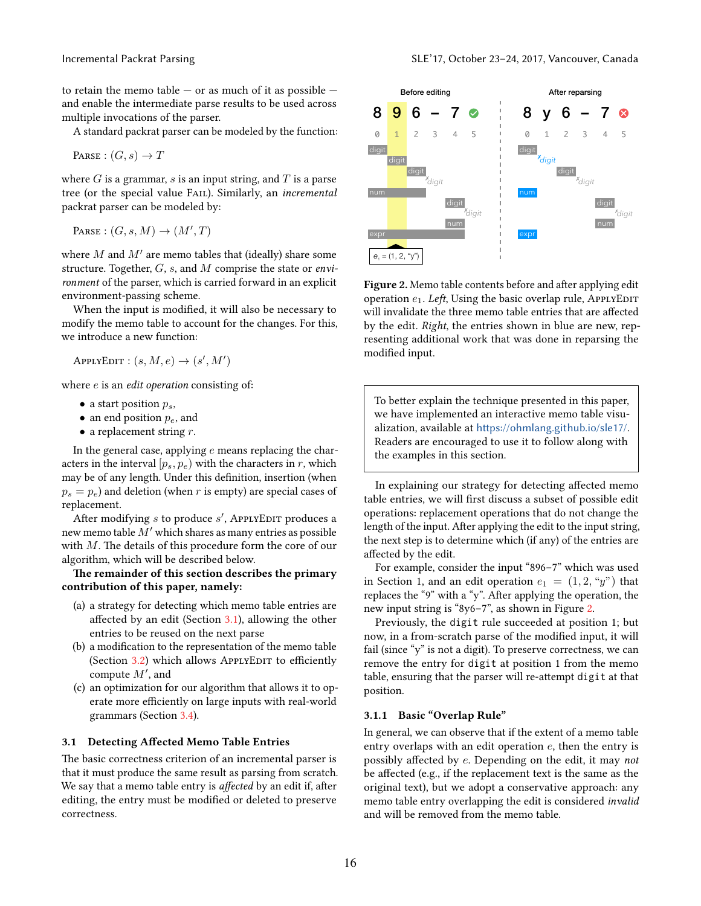to retain the memo table  $-$  or as much of it as possible  $$ and enable the intermediate parse results to be used across multiple invocations of the parser.

A standard packrat parser can be modeled by the function:

$$
\texttt{Parse} : (G, s) \to T
$$

where  $G$  is a grammar,  $s$  is an input string, and  $T$  is a parse tree (or the special value Fail). Similarly, an incremental packrat parser can be modeled by:

PARSE :  $(G, s, M) \rightarrow (M', T)$ 

where  $M$  and  $M'$  are memo tables that (ideally) share some structure. Together,  $G$ ,  $s$ , and  $M$  comprise the state or *envi*ronment of the parser, which is carried forward in an explicit environment-passing scheme.

When the input is modified, it will also be necessary to modify the memo table to account for the changes. For this, we introduce a new function:

APPLYEDIT :  $(s, M, e) \rightarrow (s', M')$ 

where  $e$  is an *edit operation* consisting of:

- a start position  $p_s$ ,
- an end position  $p_e$ , and
- a replacement string  $r$ .

In the general case, applying  $e$  means replacing the characters in the interval  $[p_s, p_e]$  with the characters in r, which may be of any length. Under this definition, insertion (when  $p_s = p_e$ ) and deletion (when r is empty) are special cases of replacement.

.<br>After modifying  $s$  to produce  $s'$ , ApplyEDIT produces a new memo table M′ which shares as many entries as possible with M. The details of this procedure form the core of our algorithm, which will be described below.

## The remainder of this section describes the primary contribution of this paper, namely:

- (a) a strategy for detecting which memo table entries are affected by an edit (Section [3.1\)](#page-2-0), allowing the other entries to be reused on the next parse
- (b) a modification to the representation of the memo table (Section [3.2\)](#page-3-0) which allows APPLYEDIT to efficiently compute  $M'$ , and
- (c) an optimization for our algorithm that allows it to operate more efficiently on large inputs with real-world grammars (Section [3.4\)](#page-4-0).

#### <span id="page-2-0"></span>3.1 Detecting Affected Memo Table Entries

The basic correctness criterion of an incremental parser is that it must produce the same result as parsing from scratch. We say that a memo table entry is affected by an edit if, after editing, the entry must be modified or deleted to preserve correctness.

<span id="page-2-1"></span>

Figure 2. Memo table contents before and after applying edit operation  $e_1$ . Left, Using the basic overlap rule, ApplyEDIT will invalidate the three memo table entries that are affected by the edit. Right, the entries shown in blue are new, representing additional work that was done in reparsing the modified input.

To better explain the technique presented in this paper, we have implemented an interactive memo table visualization, available at <https://ohmlang.github.io/sle17/>. Readers are encouraged to use it to follow along with the examples in this section.

In explaining our strategy for detecting affected memo table entries, we will first discuss a subset of possible edit operations: replacement operations that do not change the length of the input. After applying the edit to the input string, the next step is to determine which (if any) of the entries are affected by the edit.

For example, consider the input "896–7" which was used in Section 1, and an edit operation  $e_1 = (1, 2, "y")$  that replaces the "9" with a "y". After applying the operation, the new input string is "8y6-7", as shown in Figure [2.](#page-2-1)

Previously, the digit rule succeeded at position 1; but now, in a from-scratch parse of the modified input, it will fail (since " $y$ " is not a digit). To preserve correctness, we can remove the entry for digit at position 1 from the memo table, ensuring that the parser will re-attempt digit at that position.

#### 3.1.1 Basic "Overlap Rule"

In general, we can observe that if the extent of a memo table entry overlaps with an edit operation  $e$ , then the entry is possibly affected by e. Depending on the edit, it may not be affected (e.g., if the replacement text is the same as the original text), but we adopt a conservative approach: any memo table entry overlapping the edit is considered invalid and will be removed from the memo table.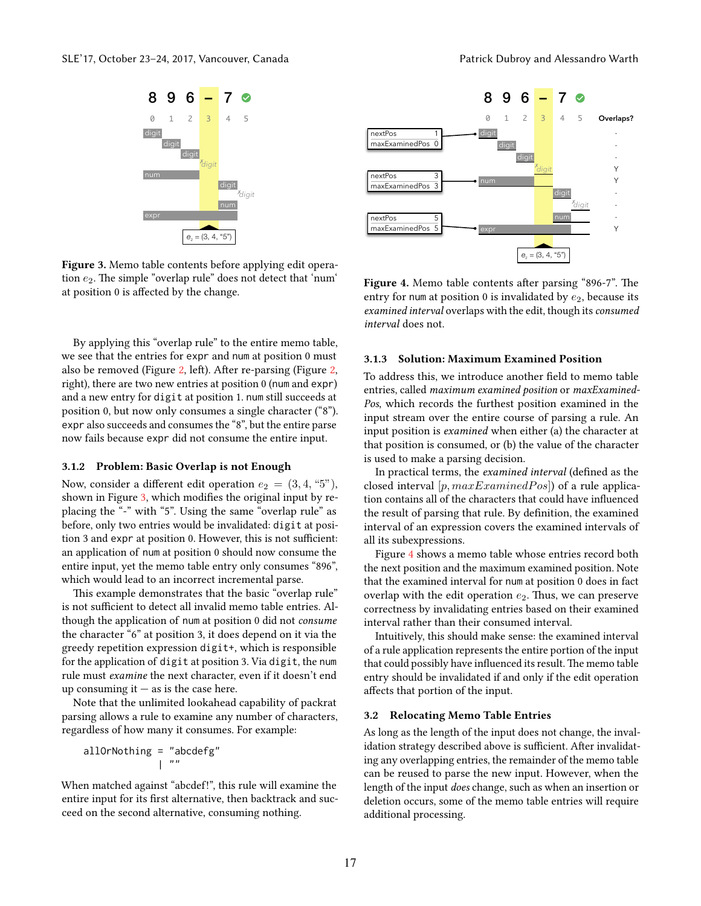<span id="page-3-1"></span>

Figure 3. Memo table contents before applying edit operation  $e_2$ . The simple "overlap rule" does not detect that 'num' at position 0 is affected by the change.

By applying this "overlap rule" to the entire memo table, we see that the entries for expr and num at position 0 must also be removed (Figure [2,](#page-2-1) left). After re-parsing (Figure [2,](#page-2-1) right), there are two new entries at position 0 (num and expr) and a new entry for digit at position 1. num still succeeds at position 0, but now only consumes a single character ("8"). expr also succeeds and consumes the "8", but the entire parse now fails because expr did not consume the entire input.

#### 3.1.2 Problem: Basic Overlap is not Enough

Now, consider a different edit operation  $e_2 = (3, 4, "5"),$ shown in Figure [3,](#page-3-1) which modifies the original input by replacing the "-" with "5". Using the same "overlap rule" as before, only two entries would be invalidated: digit at position 3 and expr at position 0. However, this is not sufficient: an application of num at position 0 should now consume the entire input, yet the memo table entry only consumes "896", which would lead to an incorrect incremental parse.

This example demonstrates that the basic "overlap rule" is not sufficient to detect all invalid memo table entries. Although the application of num at position 0 did not consume the character "6" at position 3, it does depend on it via the greedy repetition expression digit+, which is responsible for the application of digit at position 3. Via digit, the num rule must examine the next character, even if it doesn't end up consuming it  $-$  as is the case here.

Note that the unlimited lookahead capability of packrat parsing allows a rule to examine any number of characters, regardless of how many it consumes. For example:

allOrNothing = "abcdefg" — ""

When matched against "abcdef!", this rule will examine the entire input for its first alternative, then backtrack and succeed on the second alternative, consuming nothing.

<span id="page-3-2"></span>

Figure 4. Memo table contents after parsing "896-7". The entry for num at position 0 is invalidated by  $e_2$ , because its examined interval overlaps with the edit, though its consumed interval does not.

## 3.1.3 Solution: Maximum Examined Position

To address this, we introduce another field to memo table entries, called maximum examined position or maxExamined-Pos, which records the furthest position examined in the input stream over the entire course of parsing a rule. An input position is examined when either (a) the character at that position is consumed, or (b) the value of the character is used to make a parsing decision.

In practical terms, the examined interval (defined as the closed interval [p,  $maxExample20$ ]) of a rule application contains all of the characters that could have influenced the result of parsing that rule. By definition, the examined interval of an expression covers the examined intervals of all its subexpressions.

Figure [4](#page-3-2) shows a memo table whose entries record both the next position and the maximum examined position. Note that the examined interval for num at position 0 does in fact overlap with the edit operation  $e_2$ . Thus, we can preserve correctness by invalidating entries based on their examined interval rather than their consumed interval.

Intuitively, this should make sense: the examined interval of a rule application represents the entire portion of the input that could possibly have influenced its result. The memo table entry should be invalidated if and only if the edit operation affects that portion of the input.

#### <span id="page-3-0"></span>3.2 Relocating Memo Table Entries

As long as the length of the input does not change, the invalidation strategy described above is sufficient. After invalidating any overlapping entries, the remainder of the memo table can be reused to parse the new input. However, when the length of the input does change, such as when an insertion or deletion occurs, some of the memo table entries will require additional processing.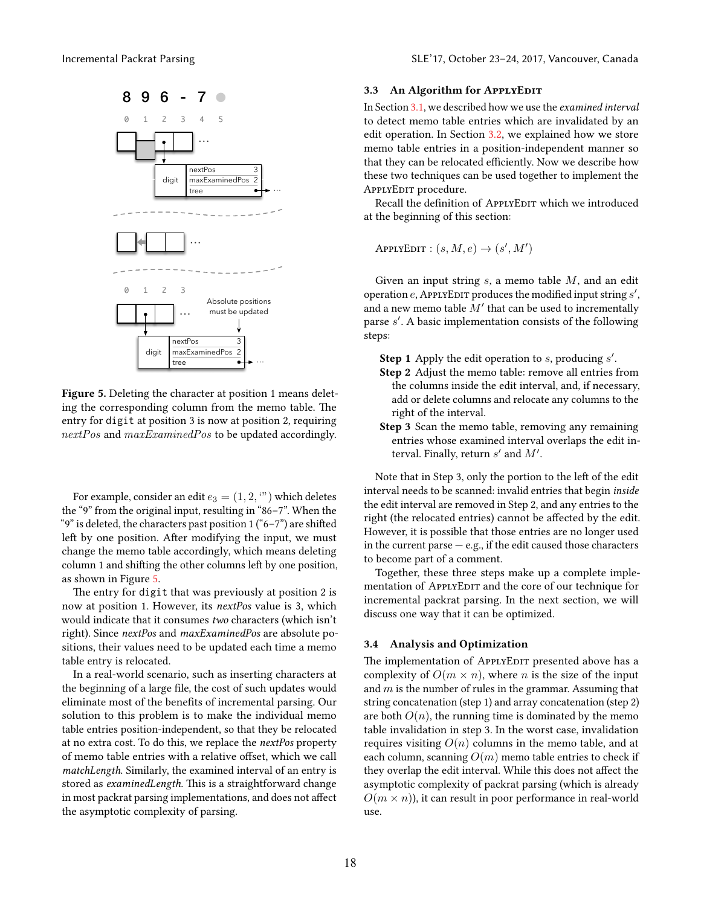<span id="page-4-1"></span>

Figure 5. Deleting the character at position 1 means deleting the corresponding column from the memo table. The entry for digit at position 3 is now at position 2, requiring nextPos and maxExaminedPos to be updated accordingly.

For example, consider an edit  $e_3 = (1, 2, \cdots)$  which deletes the "9" from the original input, resulting in "86–7". When the "9" is deleted, the characters past position  $1 ("6–7")$  are shifted left by one position. After modifying the input, we must change the memo table accordingly, which means deleting column 1 and shifting the other columns left by one position, as shown in Figure [5.](#page-4-1)

The entry for digit that was previously at position 2 is now at position 1. However, its nextPos value is 3, which would indicate that it consumes two characters (which isn't right). Since nextPos and maxExaminedPos are absolute positions, their values need to be updated each time a memo table entry is relocated.

In a real-world scenario, such as inserting characters at the beginning of a large file, the cost of such updates would eliminate most of the benefits of incremental parsing. Our solution to this problem is to make the individual memo table entries position-independent, so that they be relocated at no extra cost. To do this, we replace the nextPos property of memo table entries with a relative offset, which we call matchLength. Similarly, the examined interval of an entry is stored as examinedLength. This is a straightforward change in most packrat parsing implementations, and does not affect the asymptotic complexity of parsing.

#### 3.3 An Algorithm for APPLYEDIT

In Section [3.1,](#page-2-0) we described how we use the examined interval to detect memo table entries which are invalidated by an edit operation. In Section [3.2,](#page-3-0) we explained how we store memo table entries in a position-independent manner so that they can be relocated efficiently. Now we describe how these two techniques can be used together to implement the APPLYEDIT procedure.

Recall the definition of APPLYEDIT which we introduced at the beginning of this section:

APPLYEDIT :  $(s, M, e) \rightarrow (s', M')$ 

Given an input string  $s$ , a memo table  $M$ , and an edit operation  $e$ , APPLYEDIT produces the modified input string  $s'$ , and a new memo table  $\overline{M}'$  that can be used to incrementally parse s'. A basic implementation consists of the following steps:

**Step 1** Apply the edit operation to  $s$ , producing  $s'$ .

- Step 2 Adjust the memo table: remove all entries from the columns inside the edit interval, and, if necessary, add or delete columns and relocate any columns to the right of the interval.
- Step 3 Scan the memo table, removing any remaining entries whose examined interval overlaps the edit interval. Finally, return  $s'$  and  $M'$ .

Note that in Step 3, only the portion to the left of the edit interval needs to be scanned: invalid entries that begin inside the edit interval are removed in Step 2, and any entries to the right (the relocated entries) cannot be affected by the edit. However, it is possible that those entries are no longer used in the current parse  $-$  e.g., if the edit caused those characters to become part of a comment.

Together, these three steps make up a complete implementation of APPLYEDIT and the core of our technique for incremental packrat parsing. In the next section, we will discuss one way that it can be optimized.

## <span id="page-4-0"></span>3.4 Analysis and Optimization

The implementation of APPLYEDIT presented above has a complexity of  $O(m \times n)$ , where *n* is the size of the input and  $m$  is the number of rules in the grammar. Assuming that string concatenation (step 1) and array concatenation (step 2) are both  $O(n)$ , the running time is dominated by the memo table invalidation in step 3. In the worst case, invalidation requires visiting  $O(n)$  columns in the memo table, and at each column, scanning  $O(m)$  memo table entries to check if they overlap the edit interval. While this does not affect the asymptotic complexity of packrat parsing (which is already  $O(m \times n)$ , it can result in poor performance in real-world use.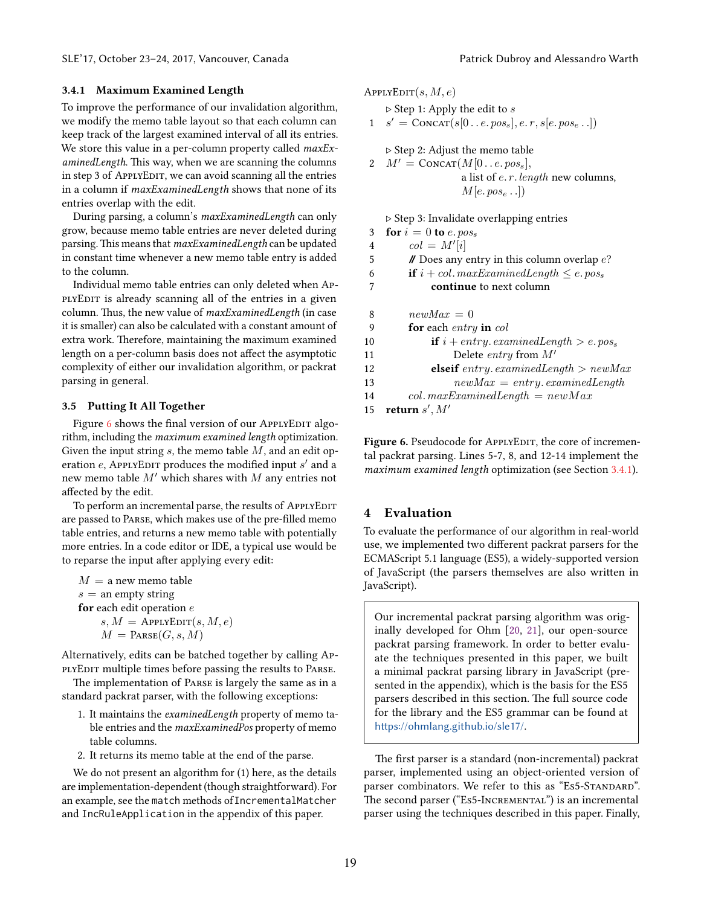#### <span id="page-5-2"></span>3.4.1 Maximum Examined Length

To improve the performance of our invalidation algorithm, we modify the memo table layout so that each column can keep track of the largest examined interval of all its entries. We store this value in a per-column property called *maxEx*aminedLength. This way, when we are scanning the columns in step 3 of APPLYEDIT, we can avoid scanning all the entries in a column if maxExaminedLength shows that none of its entries overlap with the edit.

During parsing, a column's maxExaminedLength can only grow, because memo table entries are never deleted during parsing. This means that maxExaminedLength can be updated in constant time whenever a new memo table entry is added to the column.

Individual memo table entries can only deleted when ApplyEDIT is already scanning all of the entries in a given column. Thus, the new value of maxExaminedLength (in case it is smaller) can also be calculated with a constant amount of extra work. Therefore, maintaining the maximum examined length on a per-column basis does not affect the asymptotic complexity of either our invalidation algorithm, or packrat parsing in general.

#### 3.5 Putting It All Together

Figure [6](#page-5-1) shows the final version of our APPLYEDIT algorithm, including the maximum examined length optimization. Given the input string  $s$ , the memo table  $M$ , and an edit operation  $e$ , APPLYEDIT produces the modified input  $s'$  and a new memo table  $M'$  which shares with  $M$  any entries not affected by the edit.

To perform an incremental parse, the results of APPLYEDIT are passed to Parse, which makes use of the pre-filled memo table entries, and returns a new memo table with potentially more entries. In a code editor or IDE, a typical use would be to reparse the input after applying every edit:

 $M = a$  new memo table  $s =$  an empty string for each edit operation  $e$  $s, M =$  ApplyEDIT $(s, M, e)$  $M = \text{Parse}(G, s, M)$ 

Alternatively, edits can be batched together by calling ApplyEdit multiple times before passing the results to Parse.

The implementation of Parse is largely the same as in a standard packrat parser, with the following exceptions:

- 1. It maintains the examinedLength property of memo table entries and the maxExaminedPos property of memo table columns.
- 2. It returns its memo table at the end of the parse.

We do not present an algorithm for (1) here, as the details are implementation-dependent (though straightforward). For an example, see the match methods ofIncrementalMatcher and IncRuleApplication in the appendix of this paper.

<span id="page-5-1"></span>APPLYEDIT $(s, M, e)$ 

 $\triangleright$  Step 1: Apply the edit to  $s$ 

1 
$$
s' = \text{CONCAT}(s[0..e. pos_s], e.r, s[e. pos_e..])
$$

▷ Step 2: Adjust the memo table 2  $M' = \text{ConvAT}(M[0..e.pos_s]),$ a list of *e. r. length* new columns,  $M[e, pos_e$ ..]

▷ Step 3: Invalidate overlapping entries

| for $i = 0$ to e. $pos_s$                                           |
|---------------------------------------------------------------------|
| $col = M'[i]$                                                       |
| $\mathcal N$ Does any entry in this column overlap e?               |
| <b>if</b> $i + col$ . maxExaminedLength $\leq e$ . pos <sub>s</sub> |
| continue to next column                                             |
| $newMax = 0$                                                        |
| for each entry in col                                               |
| <b>if</b> $i + entry. examinedLength > e. pos_s$                    |
| Delete <i>entry</i> from $M'$                                       |
| <b>elseif</b> entry. examined Length $>$ new Max                    |
| $newMax = entry. examinedLength$                                    |
| $col.maxExaminedLength = newMax$                                    |
| return $s', M'$                                                     |
|                                                                     |

Figure 6. Pseudocode for APPLYEDIT, the core of incremental packrat parsing. Lines 5-7, 8, and 12-14 implement the maximum examined length optimization (see Section [3.4.1\)](#page-5-2).

#### <span id="page-5-0"></span>4 Evaluation

To evaluate the performance of our algorithm in real-world use, we implemented two different packrat parsers for the ECMAScript 5.1 language (ES5), a widely-supported version of JavaScript (the parsers themselves are also written in JavaScript).

Our incremental packrat parsing algorithm was originally developed for Ohm [\[20,](#page-11-11) [21\]](#page-11-12), our open-source packrat parsing framework. In order to better evaluate the techniques presented in this paper, we built a minimal packrat parsing library in JavaScript (presented in the appendix), which is the basis for the ES5 parsers described in this section. The full source code for the library and the ES5 grammar can be found at <https://ohmlang.github.io/sle17/>.

The first parser is a standard (non-incremental) packrat parser, implemented using an object-oriented version of parser combinators. We refer to this as "Es5-STANDARD". The second parser ("Es5-Incremental") is an incremental parser using the techniques described in this paper. Finally,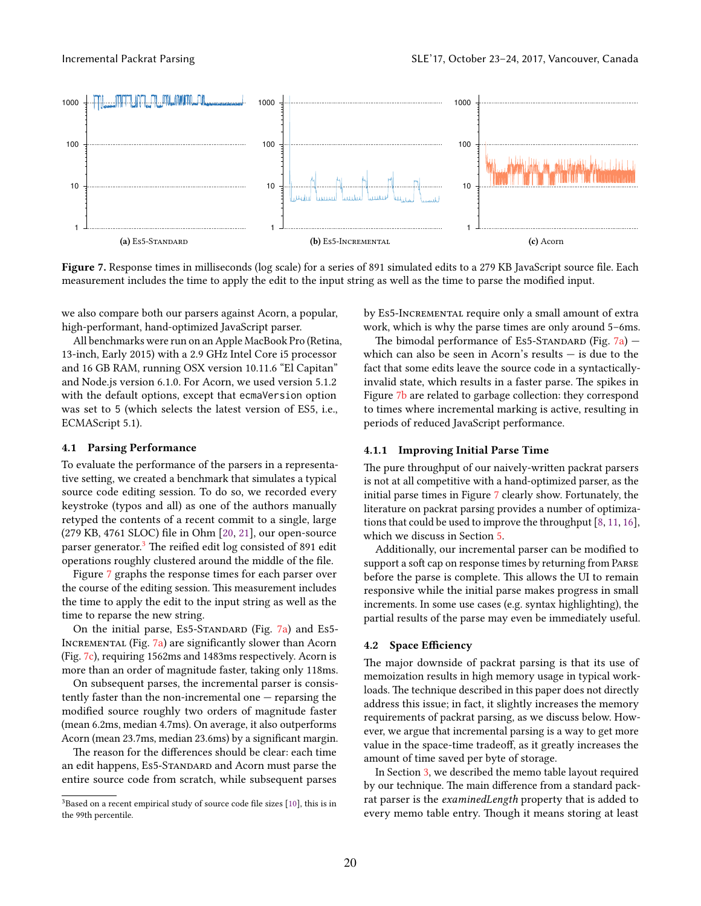<span id="page-6-2"></span><span id="page-6-1"></span>

Figure 7. Response times in milliseconds (log scale) for a series of 891 simulated edits to a 279 KB JavaScript source file. Each measurement includes the time to apply the edit to the input string as well as the time to parse the modified input.

we also compare both our parsers against Acorn, a popular, high-performant, hand-optimized JavaScript parser.

All benchmarks were run on an Apple MacBook Pro (Retina, 13-inch, Early 2015) with a 2.9 GHz Intel Core i5 processor and 16 GB RAM, running OSX version 10.11.6 "El Capitan" and Node.js version 6.1.0. For Acorn, we used version 5.1.2 with the default options, except that ecmaVersion option was set to 5 (which selects the latest version of ES5, i.e., ECMAScript 5.1).

#### 4.1 Parsing Performance

To evaluate the performance of the parsers in a representative setting, we created a benchmark that simulates a typical source code editing session. To do so, we recorded every keystroke (typos and all) as one of the authors manually retyped the contents of a recent commit to a single, large (279 KB, 4761 SLOC) file in Ohm [\[20,](#page-11-11) [21\]](#page-11-12), our open-source parser generator.<sup>[3](#page-6-0)</sup> The reified edit log consisted of 891 edit operations roughly clustered around the middle of the file.

Figure [7](#page-6-1) graphs the response times for each parser over the course of the editing session. This measurement includes the time to apply the edit to the input string as well as the time to reparse the new string.

On the initial parse, Es5-STANDARD (Fig. [7a\)](#page-6-2) and Es5-INCREMENTAL (Fig. [7a\)](#page-6-2) are significantly slower than Acorn (Fig. [7c\)](#page-6-3), requiring 1562ms and 1483ms respectively. Acorn is more than an order of magnitude faster, taking only 118ms.

On subsequent parses, the incremental parser is consistently faster than the non-incremental one — reparsing the modified source roughly two orders of magnitude faster (mean 6.2ms, median 4.7ms). On average, it also outperforms Acorn (mean 23.7ms, median 23.6ms) by a significant margin.

The reason for the differences should be clear: each time an edit happens, Es5-Standard and Acorn must parse the entire source code from scratch, while subsequent parses <span id="page-6-4"></span><span id="page-6-3"></span>by Es5-Incremental require only a small amount of extra work, which is why the parse times are only around 5–6ms.

The bimodal performance of Es5-STANDARD (Fig.  $7a$ ) – which can also be seen in Acorn's results — is due to the fact that some edits leave the source code in a syntacticallyinvalid state, which results in a faster parse. The spikes in Figure [7b](#page-6-4) are related to garbage collection: they correspond to times where incremental marking is active, resulting in periods of reduced JavaScript performance.

## 4.1.1 Improving Initial Parse Time

The pure throughput of our naively-written packrat parsers is not at all competitive with a hand-optimized parser, as the initial parse times in Figure [7](#page-6-1) clearly show. Fortunately, the literature on packrat parsing provides a number of optimizations that could be used to improve the throughput [\[8,](#page-11-4) [11,](#page-11-5) [16\]](#page-11-6), which we discuss in Section [5.](#page-7-0)

Additionally, our incremental parser can be modified to support a soft cap on response times by returning from Parse before the parse is complete. This allows the UI to remain responsive while the initial parse makes progress in small increments. In some use cases (e.g. syntax highlighting), the partial results of the parse may even be immediately useful.

#### 4.2 Space Efficiency

The major downside of packrat parsing is that its use of memoization results in high memory usage in typical workloads. The technique described in this paper does not directly address this issue; in fact, it slightly increases the memory requirements of packrat parsing, as we discuss below. However, we argue that incremental parsing is a way to get more value in the space-time tradeoff, as it greatly increases the amount of time saved per byte of storage.

In Section [3,](#page-1-1) we described the memo table layout required by our technique. The main difference from a standard packrat parser is the examinedLength property that is added to every memo table entry. Though it means storing at least

<span id="page-6-0"></span> $3B$ ased on a recent empirical study of source code file sizes [\[10\]](#page-11-13), this is in the 99th percentile.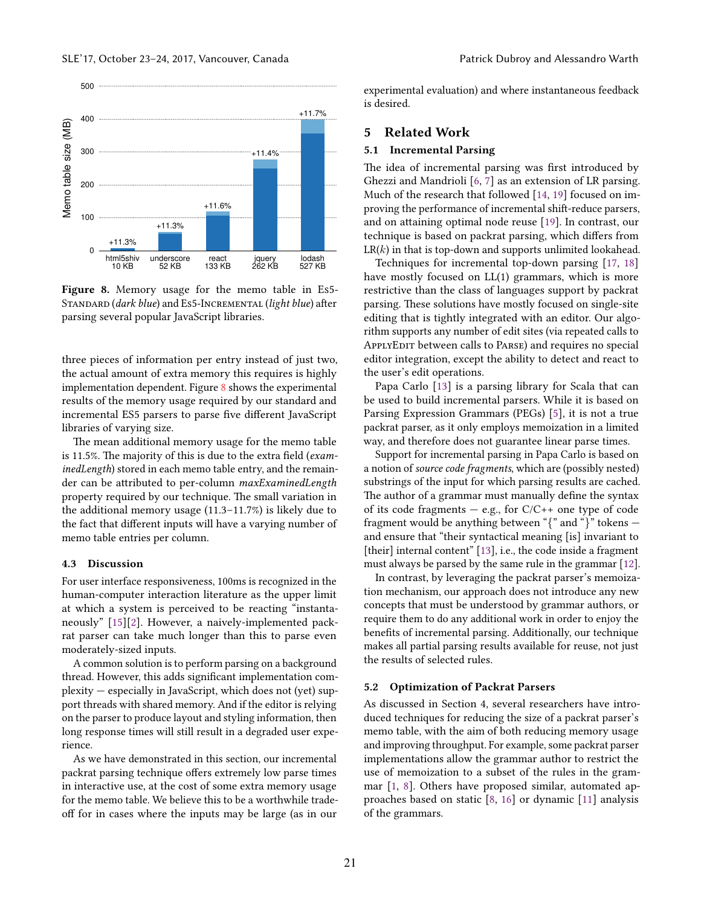<span id="page-7-1"></span>

Figure 8. Memory usage for the memo table in Es5- STANDARD (dark blue) and Es5-INCREMENTAL (light blue) after parsing several popular JavaScript libraries.

three pieces of information per entry instead of just two, the actual amount of extra memory this requires is highly implementation dependent. Figure [8](#page-7-1) shows the experimental results of the memory usage required by our standard and incremental ES5 parsers to parse five different JavaScript libraries of varying size.

The mean additional memory usage for the memo table is 11.5%. The majority of this is due to the extra field (examinedLength) stored in each memo table entry, and the remainder can be attributed to per-column maxExaminedLength property required by our technique. The small variation in the additional memory usage (11.3–11.7%) is likely due to the fact that different inputs will have a varying number of memo table entries per column.

#### 4.3 Discussion

For user interface responsiveness, 100ms is recognized in the human-computer interaction literature as the upper limit at which a system is perceived to be reacting "instantaneously" [\[15\]](#page-11-14)[\[2\]](#page-11-15). However, a naively-implemented packrat parser can take much longer than this to parse even moderately-sized inputs.

A common solution is to perform parsing on a background thread. However, this adds significant implementation complexity — especially in JavaScript, which does not (yet) support threads with shared memory. And if the editor is relying on the parser to produce layout and styling information, then long response times will still result in a degraded user experience.

As we have demonstrated in this section, our incremental packrat parsing technique offers extremely low parse times in interactive use, at the cost of some extra memory usage for the memo table. We believe this to be a worthwhile tradeoff for in cases where the inputs may be large (as in our

experimental evaluation) and where instantaneous feedback is desired.

# <span id="page-7-0"></span>5 Related Work

## 5.1 Incremental Parsing

The idea of incremental parsing was first introduced by Ghezzi and Mandrioli [\[6,](#page-11-7) [7\]](#page-11-8) as an extension of LR parsing. Much of the research that followed [\[14,](#page-11-16) [19\]](#page-11-17) focused on improving the performance of incremental shift-reduce parsers, and on attaining optimal node reuse [\[19\]](#page-11-17). In contrast, our technique is based on packrat parsing, which differs from  $LR(k)$  in that is top-down and supports unlimited lookahead.

Techniques for incremental top-down parsing [\[17,](#page-11-18) [18\]](#page-11-19) have mostly focused on LL(1) grammars, which is more restrictive than the class of languages support by packrat parsing. These solutions have mostly focused on single-site editing that is tightly integrated with an editor. Our algorithm supports any number of edit sites (via repeated calls to APPLYEDIT between calls to PARSE) and requires no special editor integration, except the ability to detect and react to the user's edit operations.

Papa Carlo [\[13\]](#page-11-20) is a parsing library for Scala that can be used to build incremental parsers. While it is based on Parsing Expression Grammars (PEGs) [\[5\]](#page-11-10), it is not a true packrat parser, as it only employs memoization in a limited way, and therefore does not guarantee linear parse times.

Support for incremental parsing in Papa Carlo is based on a notion of source code fragments, which are (possibly nested) substrings of the input for which parsing results are cached. The author of a grammar must manually define the syntax of its code fragments  $-$  e.g., for  $C/C++$  one type of code fragment would be anything between " $\{$ " and " $\}$ " tokens – and ensure that "their syntactical meaning [is] invariant to [their] internal content" [\[13\]](#page-11-20), i.e., the code inside a fragment must always be parsed by the same rule in the grammar [\[12\]](#page-11-21).

In contrast, by leveraging the packrat parser's memoization mechanism, our approach does not introduce any new concepts that must be understood by grammar authors, or require them to do any additional work in order to enjoy the benefits of incremental parsing. Additionally, our technique makes all partial parsing results available for reuse, not just the results of selected rules.

#### 5.2 Optimization of Packrat Parsers

As discussed in Section 4, several researchers have introduced techniques for reducing the size of a packrat parser's memo table, with the aim of both reducing memory usage and improving throughput. For example, some packrat parser implementations allow the grammar author to restrict the use of memoization to a subset of the rules in the grammar [\[1,](#page-11-3) [8\]](#page-11-4). Others have proposed similar, automated approaches based on static [\[8,](#page-11-4) [16\]](#page-11-6) or dynamic [\[11\]](#page-11-5) analysis of the grammars.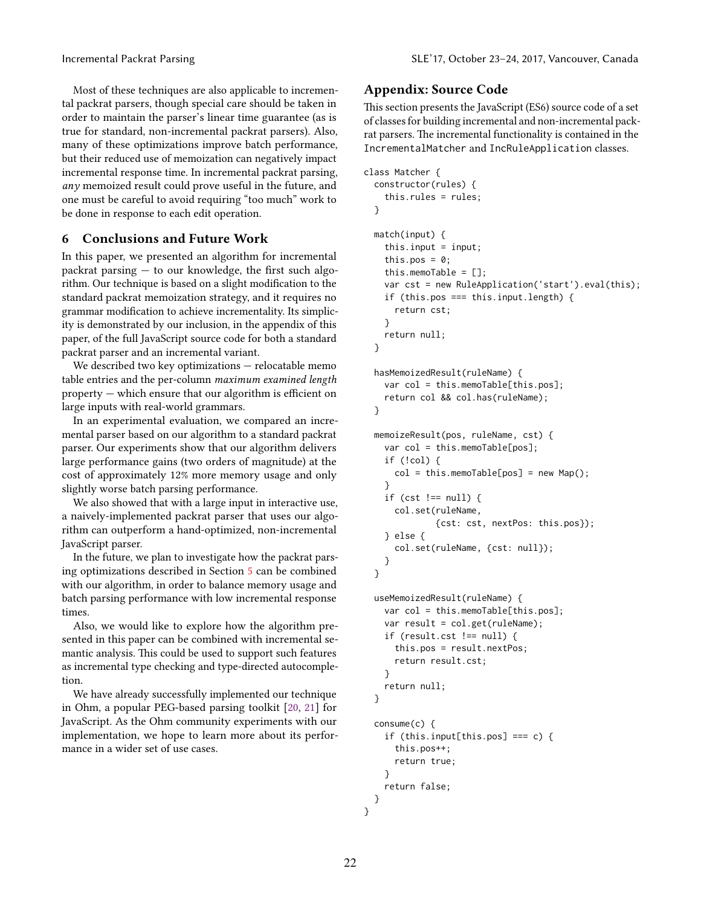Most of these techniques are also applicable to incremental packrat parsers, though special care should be taken in order to maintain the parser's linear time guarantee (as is true for standard, non-incremental packrat parsers). Also, many of these optimizations improve batch performance, but their reduced use of memoization can negatively impact incremental response time. In incremental packrat parsing,  $any$  memoized result could prove useful in the future, and one must be careful to avoid requiring "too much" work to be done in response to each edit operation.

## <span id="page-8-0"></span>6 Conclusions and Future Work

In this paper, we presented an algorithm for incremental packrat parsing — to our knowledge, the first such algorithm. Our technique is based on a slight modification to the standard packrat memoization strategy, and it requires no grammar modification to achieve incrementality. Its simplicity is demonstrated by our inclusion, in the appendix of this paper, of the full JavaScript source code for both a standard packrat parser and an incremental variant.

We described two key optimizations — relocatable memo table entries and the per-column maximum examined length property — which ensure that our algorithm is efficient on large inputs with real-world grammars.

In an experimental evaluation, we compared an incremental parser based on our algorithm to a standard packrat parser. Our experiments show that our algorithm delivers large performance gains (two orders of magnitude) at the cost of approximately 12% more memory usage and only slightly worse batch parsing performance.

We also showed that with a large input in interactive use, a naively-implemented packrat parser that uses our algorithm can outperform a hand-optimized, non-incremental JavaScript parser.

In the future, we plan to investigate how the packrat parsing optimizations described in Section [5](#page-7-0) can be combined with our algorithm, in order to balance memory usage and batch parsing performance with low incremental response times.

Also, we would like to explore how the algorithm presented in this paper can be combined with incremental semantic analysis. This could be used to support such features as incremental type checking and type-directed autocompletion.

We have already successfully implemented our technique in Ohm, a popular PEG-based parsing toolkit [\[20,](#page-11-11) [21\]](#page-11-12) for JavaScript. As the Ohm community experiments with our implementation, we hope to learn more about its performance in a wider set of use cases.

## Appendix: Source Code

This section presents the JavaScript (ES6) source code of a set of classes for building incremental and non-incremental packrat parsers. The incremental functionality is contained in the IncrementalMatcher and IncRuleApplication classes.

```
class Matcher {
  constructor(rules) –
    this.rules = rules;
  ˝
  match(input) {
    this.input = input;this.pos = 0;
    this.memoTable = [];
    var cst = new RuleApplication('start').eval(this);
    if (this.pos === this.input.length) {
      return cst;
    ˝
   return null;
  ˝
  hasMemoizedResult(ruleName) –
    var col = this.memoTable[this.pos];
    return col && col.has(ruleName);
  ˝
  memoizeResult(pos, ruleName, cst) {
    var col = this.memoTable[pos];
    if (!col) {
      col = this.memoTable[pos] = new Map();
    ˝
    if (cst != null) {
      col.set(ruleName,
              {cst: cst, nextPos: this.pos});
    \} else {
      col.set(ruleName, {cst: null});
    ˝
  ˝
  useMemoizedResult(ruleName) –
    var col = this.memoTable[this.pos];
    var result = col.get(ruleName);
    if (result.cst != null) {
      this.pos = result.nextPos;
      return result.cst;
    ˝
    return null;
  ˝
  consume(c) {
    if (this.input[this.pos] === c) {
      this.pos++;
      return true;
```
˝

˝ ˝

return false;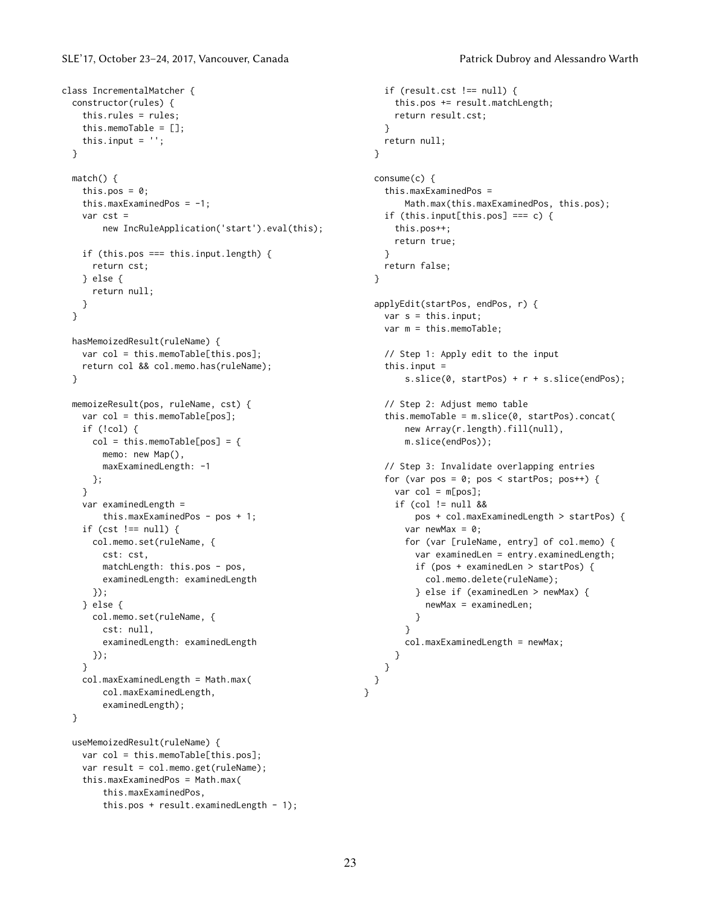```
class IncrementalMatcher {
  constructor(rules) –
   this.rules = rules;
   this.memoTable = [];
   this.input = ';
  ˝
 match() fthis.pos = 0;
    this.maxExaminedPos = -1;
    var cst =
        new IncRuleApplication('start').eval(this);
    if (this.pos === this.input.length) {
     return cst;
   } else {
     return null;
   ˝
 ˝
 hasMemoizedResult(ruleName) –
   var col = this.memoTable[this.pos];
   return col && col.memo.has(ruleName);
  \mathbf{a}memoizeResult(pos, ruleName, cst) {
    var col = this.memoTable[pos];
   if (!col) {
      col = this.memoTable[pos] = {
       memo: new Map(),
       maxExaminedLength: -1
     ˝;
    ˝
    var examinedLength =
       this.maxExaminedPos - pos + 1;
   if (cst != null) {
     col.memo.set(ruleName, {
        cst: cst,
        matchLength: this.pos - pos,
        examinedLength: examinedLength
      );
    } else {
     col.memo.set(ruleName, {
        cst: null,
        examinedLength: examinedLength
      ˝);
    ˝
    col.maxExaminedLength = Math.max(
        col.maxExaminedLength,
        examinedLength);
  ˝
  useMemoizedResult(ruleName) –
    var col = this.memoTable[this.pos];
```

```
var result = col.memo.get(ruleName);
this.maxExaminedPos = Math.max(
    this.maxExaminedPos,
    this.pos + result.examinedLength - 1);
```

```
if (result.cst != null) {
    this.pos += result.matchLength;
    return result.cst;
  ˝
  return null;
˝
consume(c) {
  this.maxExaminedPos =
      Math.max(this.maxExaminedPos, this.pos);
  if (this.input[this.pos] === c) {
    this.pos++;
    return true;
  ˝
  return false;
˝
applyEdit(startPos, endPos, r) –
  var s = this.input;var m = this.memoTable;
 // Step 1: Apply edit to the input
  this.input =s.slice(0, startPos) + r + s.slice(endPos);
  // Step 2: Adjust memo table
  this.memoTable = m.slice(0, startPos).concat(
      new Array(r.length).fill(null),
      m.slice(endPos));
  // Step 3: Invalidate overlapping entries
  for (var pos = 0; pos < startPos; pos++) {
    var col = m[pos];if (col != null &&
        pos + col.maxExaminedLength > startPos) {
      var newMax = 0;
      for (var [ruleName, entry] of col.memo) {
        var examinedLen = entry.examinedLength;
        if (pos + examinedLen > startPos) {
          col.memo.delete(ruleName);
        \} else if (examinedLen > newMax) {
          newMax = examinedLen;
        ˝
      ˝
      col.maxExaminedLength = newMax;
    ˝
  \lambda˝
```
˝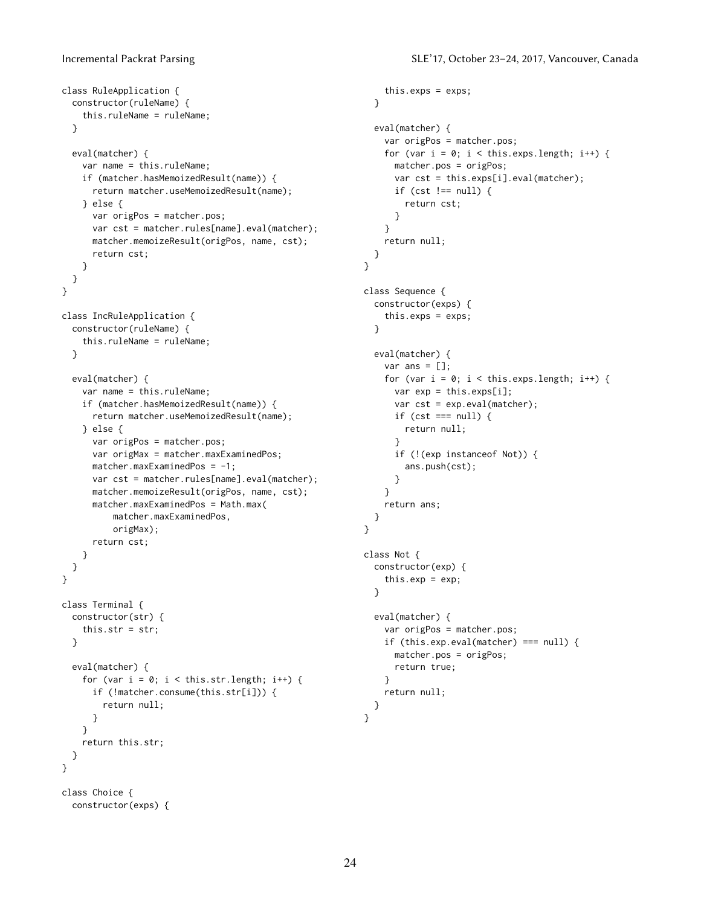```
class RuleApplication –
  constructor(ruleName) –
    this.ruleName = ruleName;
  ˝
 eval(matcher) {
   var name = this.ruleName;
   if (matcher.hasMemoizedResult(name)) {
     return matcher.useMemoizedResult(name);
   \} else \{var origPos = matcher.pos;
     var cst = matcher.rules[name].eval(matcher);
     matcher.memoizeResult(origPos, name, cst);
     return cst;
   ˝
 ˝
˝
class IncRuleApplication {
 constructor(ruleName) –
   this.ruleName = ruleName;
 ˝
  eval(matcher) {
   var name = this.ruleName;
    if (matcher.hasMemoizedResult(name)) {
     return matcher.useMemoizedResult(name);
   } else {
     var origPos = matcher.pos;
     var origMax = matcher.maxExaminedPos;
     matcher.maxExaminedPos = -1;
     var cst = matcher.rules[name].eval(matcher);
     matcher.memoizeResult(origPos, name, cst);
     matcher.maxExaminedPos = Math.max(
          matcher.maxExaminedPos,
          origMax);
     return cst;
   ˝
 ˝
˝
class Terminal {
 constructor(str) {
   this.str = str;
 ˝
  eval(matcher) {
   for (var i = 0; i < this.str.length; i++) {
     if (!matcher.consume(this.str[i])) {
        return null;
     ˝
   \lambdareturn this.str;
 ˝
˝
class Choice {
 constructor(exps) –
```

```
this.exps = exps;
  ˝
  eval(matcher) {
   var origPos = matcher.pos;
    for (var i = 0; i < this.exps.length; i++) {
      matcher.pos = origPos;
      var cst = this.exps[i].eval(matcher);
      if (cst != null) {
        return cst;
      ˝
    ˝
    return null;
  ˝
˝
class Sequence {
  constructor(exps) –
    this.exps = exps;
  ˝
  eval(matcher) {
    var ans = [];
   for (var i = 0; i < this.exps.length; i++) {
     var exp = this.exps[i];var cst = exp.eval(matcher);
     if (cst === null) {
        return null;
      ˝
     if (!(exp instanceof Not)) {
        ans.push(cst);
      ˝
   ˝
   return ans;
  ˝
˝
class Not {
  constructor(exp) –
    this.exp = exp;
  ˝
  eval(matcher) {
    var origPos = matcher.pos;
    if (this.exp.eval(matcher) === null) {
      matcher.pos = origPos;
      return true;
   \lambdareturn null;
  \lambda˝
```